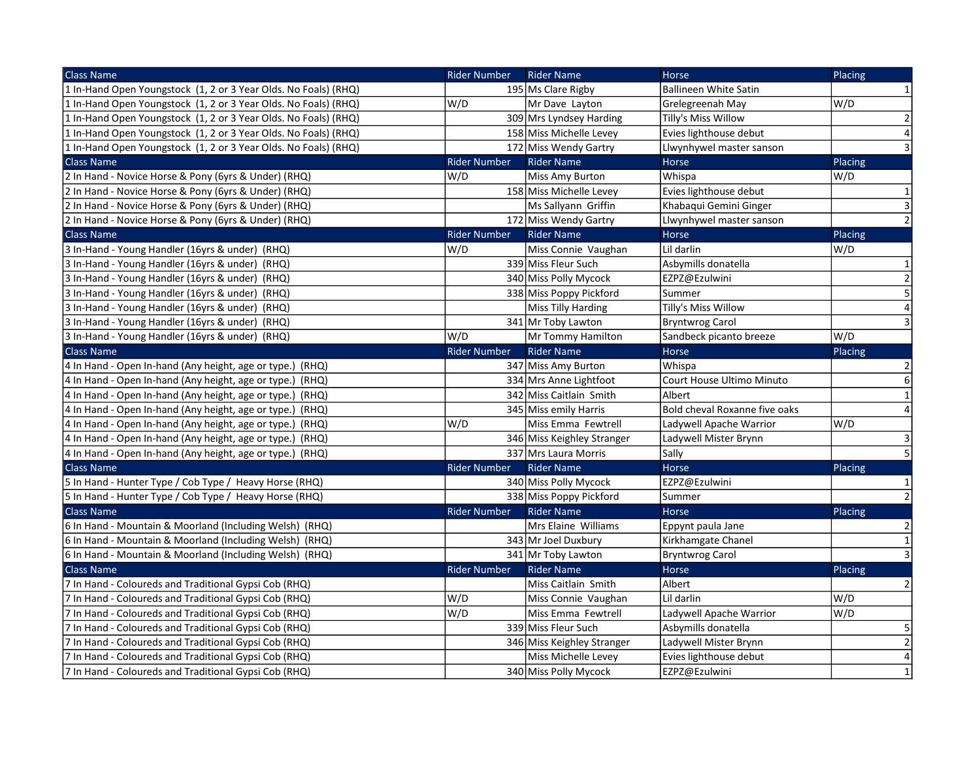| <b>Class Name</b>                                               | <b>Rider Number</b> | <b>Rider Name</b>          | Horse                         | Placing                      |
|-----------------------------------------------------------------|---------------------|----------------------------|-------------------------------|------------------------------|
| 1 In-Hand Open Youngstock (1, 2 or 3 Year Olds. No Foals) (RHQ) |                     | 195 Ms Clare Rigby         | <b>Ballineen White Satin</b>  | $\mathbf{1}$                 |
| 1 In-Hand Open Youngstock (1, 2 or 3 Year Olds. No Foals) (RHQ) | W/D                 | Mr Dave Layton             | Grelegreenah May              | W/D                          |
| 1 In-Hand Open Youngstock (1, 2 or 3 Year Olds. No Foals) (RHQ) |                     | 309 Mrs Lyndsey Harding    | Tilly's Miss Willow           | $\left  \frac{2}{2} \right $ |
| 1 In-Hand Open Youngstock (1, 2 or 3 Year Olds. No Foals) (RHQ) |                     | 158 Miss Michelle Levey    | Evies lighthouse debut        | $\overline{4}$               |
| 1 In-Hand Open Youngstock (1, 2 or 3 Year Olds. No Foals) (RHQ) |                     | 172 Miss Wendy Gartry      | Llwynhywel master sanson      | $\overline{3}$               |
| <b>Class Name</b>                                               | <b>Rider Number</b> | <b>Rider Name</b>          | <b>Horse</b>                  | Placing                      |
| 2 In Hand - Novice Horse & Pony (6yrs & Under) (RHQ)            | W/D                 | <b>Miss Amy Burton</b>     | Whispa                        | W/D                          |
| 2 In Hand - Novice Horse & Pony (6yrs & Under) (RHQ)            |                     | 158 Miss Michelle Levey    | Evies lighthouse debut        | $\mathbf{1}$                 |
| 2 In Hand - Novice Horse & Pony (6yrs & Under) (RHQ)            |                     | Ms Sallyann Griffin        | Khabaqui Gemini Ginger        | $\mathsf 3$                  |
| 2 In Hand - Novice Horse & Pony (6yrs & Under) (RHQ)            |                     | 172 Miss Wendy Gartry      | Llwynhywel master sanson      | 2                            |
| <b>Class Name</b>                                               | <b>Rider Number</b> | <b>Rider Name</b>          | Horse                         | Placing                      |
| 3 In-Hand - Young Handler (16yrs & under) (RHQ)                 | W/D                 | Miss Connie Vaughan        | Lil darlin                    | W/D                          |
| 3 In-Hand - Young Handler (16yrs & under) (RHQ)                 |                     | 339 Miss Fleur Such        | Asbymills donatella           | $\mathbf{1}$                 |
| 3 In-Hand - Young Handler (16yrs & under) (RHQ)                 |                     | 340 Miss Polly Mycock      | EZPZ@Ezulwini                 | $\overline{2}$               |
| 3 In-Hand - Young Handler (16yrs & under) (RHQ)                 |                     | 338 Miss Poppy Pickford    | Summer                        | $\overline{5}$               |
| 3 In-Hand - Young Handler (16yrs & under) (RHQ)                 |                     | <b>Miss Tilly Harding</b>  | Tilly's Miss Willow           | $\overline{4}$               |
| 3 In-Hand - Young Handler (16yrs & under) (RHQ)                 |                     | 341 Mr Toby Lawton         | <b>Bryntwrog Carol</b>        | $\mathsf{3}$                 |
| 3 In-Hand - Young Handler (16yrs & under) (RHQ)                 | W/D                 | Mr Tommy Hamilton          | Sandbeck picanto breeze       | W/D                          |
| <b>Class Name</b>                                               | <b>Rider Number</b> | <b>Rider Name</b>          | Horse                         | Placing                      |
| 4 In Hand - Open In-hand (Any height, age or type.) (RHQ)       |                     | 347 Miss Amy Burton        | Whispa                        | $\overline{2}$               |
| 4 In Hand - Open In-hand (Any height, age or type.) (RHQ)       |                     | 334 Mrs Anne Lightfoot     | Court House Ultimo Minuto     | 6                            |
| 4 In Hand - Open In-hand (Any height, age or type.) (RHQ)       |                     | 342 Miss Caitlain Smith    | Albert                        | $\mathbf{1}$                 |
| 4 In Hand - Open In-hand (Any height, age or type.) (RHQ)       |                     | 345 Miss emily Harris      | Bold cheval Roxanne five oaks | $\overline{\mathbf{4}}$      |
| 4 In Hand - Open In-hand (Any height, age or type.) (RHQ)       | W/D                 | Miss Emma Fewtrell         | Ladywell Apache Warrior       | W/D                          |
| 4 In Hand - Open In-hand (Any height, age or type.) (RHQ)       |                     | 346 Miss Keighley Stranger | Ladywell Mister Brynn         | 3                            |
| 4 In Hand - Open In-hand (Any height, age or type.) (RHQ)       |                     | 337 Mrs Laura Morris       | Sally                         | $\overline{5}$               |
| <b>Class Name</b>                                               | <b>Rider Number</b> | <b>Rider Name</b>          | Horse                         | Placing                      |
| 5 In Hand - Hunter Type / Cob Type / Heavy Horse (RHQ)          |                     | 340 Miss Polly Mycock      | EZPZ@Ezulwini                 | $\mathbf{1}$                 |
| 5 In Hand - Hunter Type / Cob Type / Heavy Horse (RHQ)          |                     | 338 Miss Poppy Pickford    | Summer                        | $\overline{2}$               |
| <b>Class Name</b>                                               | <b>Rider Number</b> | <b>Rider Name</b>          | <b>Horse</b>                  | Placing                      |
| 6 In Hand - Mountain & Moorland (Including Welsh) (RHQ)         |                     | Mrs Elaine Williams        | Eppynt paula Jane             | 2                            |
| 6 In Hand - Mountain & Moorland (Including Welsh) (RHQ)         |                     | 343 Mr Joel Duxbury        | Kirkhamgate Chanel            | $\mathbf{1}$                 |
| 6 In Hand - Mountain & Moorland (Including Welsh) (RHQ)         |                     | 341 Mr Toby Lawton         | Bryntwrog Carol               | $\vert 3 \vert$              |
| <b>Class Name</b>                                               | <b>Rider Number</b> | <b>Rider Name</b>          | Horse                         | Placing                      |
| 7 In Hand - Coloureds and Traditional Gypsi Cob (RHQ)           |                     | Miss Caitlain Smith        | Albert                        | $2\vert$                     |
| 7 In Hand - Coloureds and Traditional Gypsi Cob (RHQ)           | W/D                 | Miss Connie Vaughan        | Lil darlin                    | W/D                          |
| 7 In Hand - Coloureds and Traditional Gypsi Cob (RHQ)           | W/D                 | Miss Emma Fewtrell         | Ladywell Apache Warrior       | W/D                          |
| 7 In Hand - Coloureds and Traditional Gypsi Cob (RHQ)           |                     | 339 Miss Fleur Such        | Asbymills donatella           | $\mathsf S$                  |
| 7 In Hand - Coloureds and Traditional Gypsi Cob (RHQ)           |                     | 346 Miss Keighley Stranger | Ladywell Mister Brynn         | $\overline{2}$               |
| 7 In Hand - Coloureds and Traditional Gypsi Cob (RHQ)           |                     | <b>Miss Michelle Levey</b> | Evies lighthouse debut        | $\overline{\mathbf{4}}$      |
| 7 In Hand - Coloureds and Traditional Gypsi Cob (RHQ)           |                     | 340 Miss Polly Mycock      | EZPZ@Ezulwini                 | $\mathbf{1}$                 |